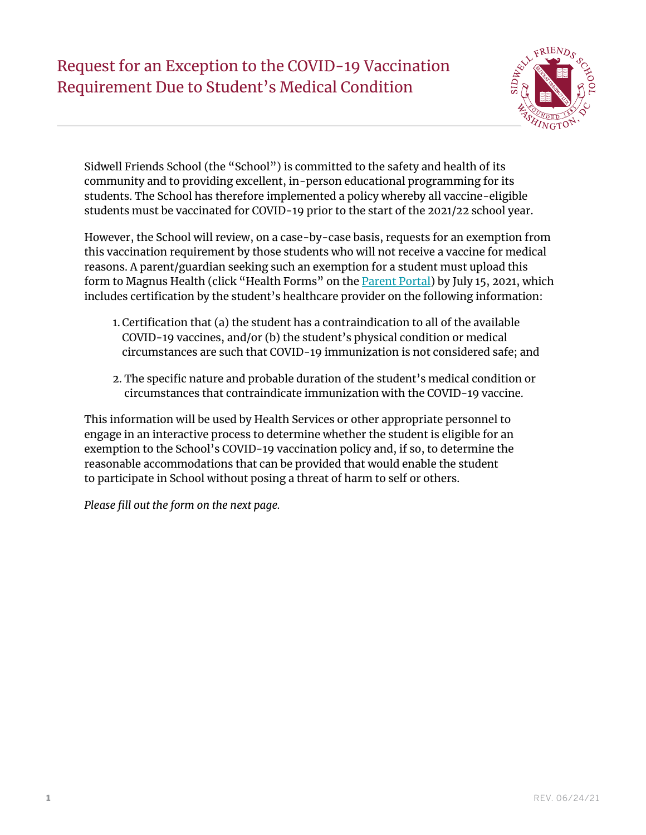# Request for an Exception to the COVID-19 Vaccination Requirement Due to Student's Medical Condition



Sidwell Friends School (the "School") is committed to the safety and health of its community and to providing excellent, in-person educational programming for its students. The School has therefore implemented a policy whereby all vaccine-eligible students must be vaccinated for COVID-19 prior to the start of the 2021/22 school year.

However, the School will review, on a case-by-case basis, requests for an exemption from this vaccination requirement by those students who will not receive a vaccine for medical reasons. A parent/guardian seeking such an exemption for a student must upload this form to Magnus Health (click "Health Forms" on the [Parent Portal](https://www.sidwell.edu/parent)) by July 15, 2021, which includes certification by the student's healthcare provider on the following information:

- 1. Certification that (a) the student has a contraindication to all of the available COVID-19 vaccines, and/or (b) the student's physical condition or medical circumstances are such that COVID-19 immunization is not considered safe; and
- 2. The specific nature and probable duration of the student's medical condition or circumstances that contraindicate immunization with the COVID-19 vaccine.

This information will be used by Health Services or other appropriate personnel to engage in an interactive process to determine whether the student is eligible for an exemption to the School's COVID-19 vaccination policy and, if so, to determine the reasonable accommodations that can be provided that would enable the student to participate in School without posing a threat of harm to self or others.

*Please fill out the form on the next page.*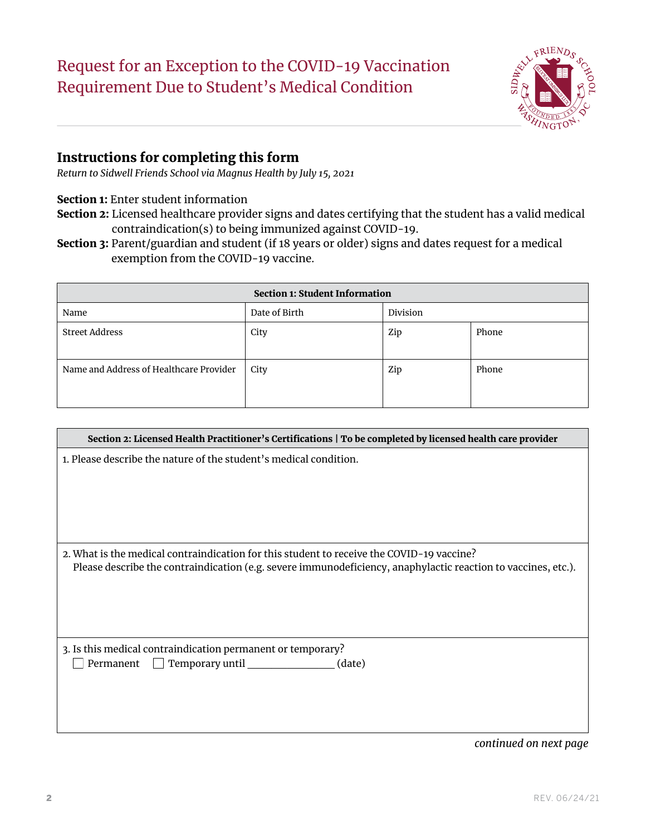# Request for an Exception to the COVID-19 Vaccination Requirement Due to Student's Medical Condition



### Instructions for completing this form

*Return to Sidwell Friends School via Magnus Health by July 15, 2021*

#### Section 1: Enter student information

- Section 2: Licensed healthcare provider signs and dates certifying that the student has a valid medical contraindication(s) to being immunized against COVID-19.
- Section 3: Parent/guardian and student (if 18 years or older) signs and dates request for a medical exemption from the COVID-19 vaccine.

| <b>Section 1: Student Information</b>   |               |          |       |  |
|-----------------------------------------|---------------|----------|-------|--|
| Name                                    | Date of Birth | Division |       |  |
| Street Address                          | City          | Zip      | Phone |  |
| Name and Address of Healthcare Provider | City          | Zip      | Phone |  |

| Section 2: Licensed Health Practitioner's Certifications   To be completed by licensed health care provider                                                                                                |  |  |
|------------------------------------------------------------------------------------------------------------------------------------------------------------------------------------------------------------|--|--|
| 1. Please describe the nature of the student's medical condition.                                                                                                                                          |  |  |
| 2. What is the medical contraindication for this student to receive the COVID-19 vaccine?<br>Please describe the contraindication (e.g. severe immunodeficiency, anaphylactic reaction to vaccines, etc.). |  |  |
| 3. Is this medical contraindication permanent or temporary?<br>Temporary until<br>Permanent<br>(date)                                                                                                      |  |  |

*continued on next page*